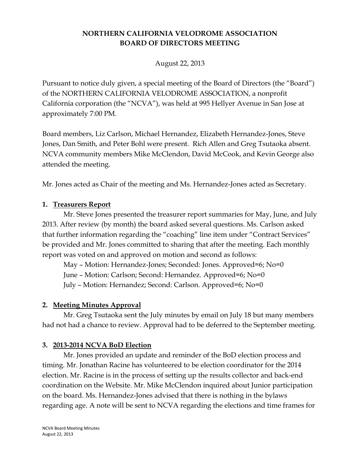# **NORTHERN CALIFORNIA VELODROME ASSOCIATION BOARD OF DIRECTORS MEETING**

August 22, 2013

Pursuant to notice duly given, a special meeting of the Board of Directors (the "Board") of the NORTHERN CALIFORNIA VELODROME ASSOCIATION, a nonprofit California corporation (the "NCVA"), was held at 995 Hellyer Avenue in San Jose at approximately 7:00 PM.

Board members, Liz Carlson, Michael Hernandez, Elizabeth Hernandez-Jones, Steve Jones, Dan Smith, and Peter Bohl were present. Rich Allen and Greg Tsutaoka absent. NCVA community members Mike McClendon, David McCook, and Kevin George also attended the meeting.

Mr. Jones acted as Chair of the meeting and Ms. Hernandez-Jones acted as Secretary.

#### **1. Treasurers Report**

Mr. Steve Jones presented the treasurer report summaries for May, June, and July 2013. After review (by month) the board asked several questions. Ms. Carlson asked that further information regarding the "coaching" line item under "Contract Services" be provided and Mr. Jones committed to sharing that after the meeting. Each monthly report was voted on and approved on motion and second as follows:

May – Motion: Hernandez-Jones; Seconded: Jones. Approved=6; No=0 June – Motion: Carlson; Second: Hernandez. Approved=6; No=0 July – Motion: Hernandez; Second: Carlson. Approved=6; No=0

# **2. Meeting Minutes Approval**

Mr. Greg Tsutaoka sent the July minutes by email on July 18 but many members had not had a chance to review. Approval had to be deferred to the September meeting.

# **3. 2013-2014 NCVA BoD Election**

Mr. Jones provided an update and reminder of the BoD election process and timing. Mr. Jonathan Racine has volunteered to be election coordinator for the 2014 election. Mr. Racine is in the process of setting up the results collector and back-end coordination on the Website. Mr. Mike McClendon inquired about Junior participation on the board. Ms. Hernandez-Jones advised that there is nothing in the bylaws regarding age. A note will be sent to NCVA regarding the elections and time frames for